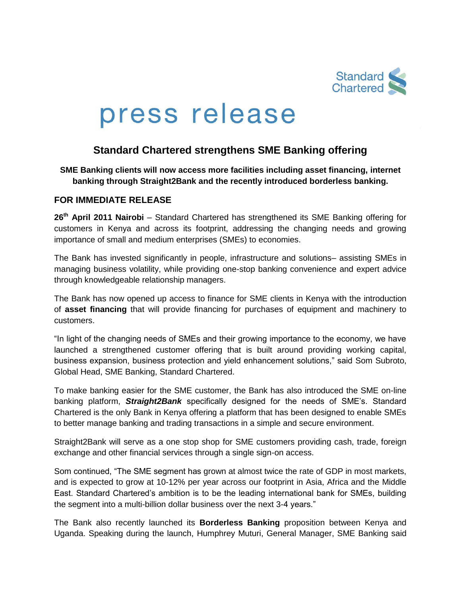

# press release

## **Standard Chartered strengthens SME Banking offering**

#### **SME Banking clients will now access more facilities including asset financing, internet banking through Straight2Bank and the recently introduced borderless banking.**

### **FOR IMMEDIATE RELEASE**

26<sup>th</sup> April 2011 Nairobi – Standard Chartered has strengthened its SME Banking offering for customers in Kenya and across its footprint, addressing the changing needs and growing importance of small and medium enterprises (SMEs) to economies.

The Bank has invested significantly in people, infrastructure and solutions– assisting SMEs in managing business volatility, while providing one-stop banking convenience and expert advice through knowledgeable relationship managers.

The Bank has now opened up access to finance for SME clients in Kenya with the introduction of **asset financing** that will provide financing for purchases of equipment and machinery to customers.

"In light of the changing needs of SMEs and their growing importance to the economy, we have launched a strengthened customer offering that is built around providing working capital, business expansion, business protection and yield enhancement solutions," said Som Subroto, Global Head, SME Banking, Standard Chartered.

To make banking easier for the SME customer, the Bank has also introduced the SME on-line banking platform, *Straight2Bank* specifically designed for the needs of SME's. Standard Chartered is the only Bank in Kenya offering a platform that has been designed to enable SMEs to better manage banking and trading transactions in a simple and secure environment.

Straight2Bank will serve as a one stop shop for SME customers providing cash, trade, foreign exchange and other financial services through a single sign-on access.

Som continued, "The SME segment has grown at almost twice the rate of GDP in most markets, and is expected to grow at 10-12% per year across our footprint in Asia, Africa and the Middle East. Standard Chartered's ambition is to be the leading international bank for SMEs, building the segment into a multi-billion dollar business over the next 3-4 years."

The Bank also recently launched its **Borderless Banking** proposition between Kenya and Uganda. Speaking during the launch, Humphrey Muturi, General Manager, SME Banking said